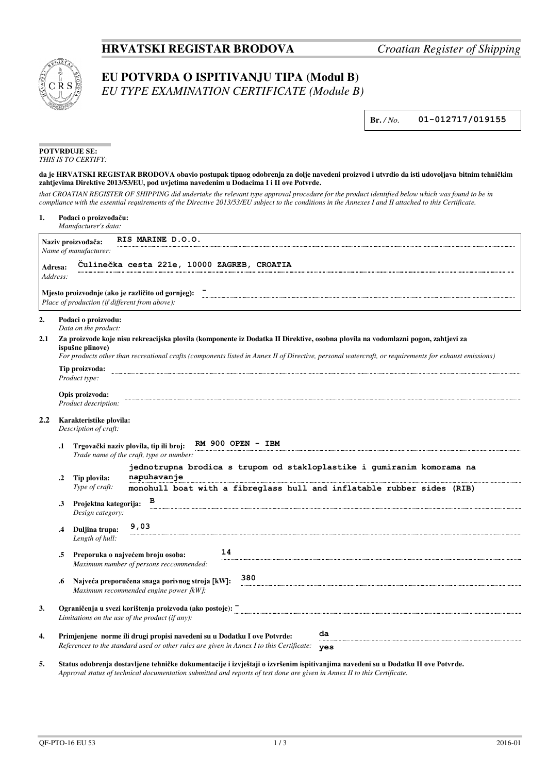## **HRVATSKI REGISTAR BRODOVA** *Croatian Register of Shipping*



## **EU POTVRDA O ISPITIVANJU TIPA (Modul B)**

*EU TYPE EXAMINATION CERTIFICATE (Module B)*

**Br.** */ No.* **01-012717/019155**

| <b>POTVRDUJE SE:</b> |
|----------------------|
| THIS IS TO CERTIFY:  |

## **da je HRVATSKI REGISTAR BRODOVA obavio postupak tipnog odobrenja za dolje navedeni proizvod i utvrdio da isti udovoljava bitnim tehničkim zahtjevima Direktive 2013/53/EU, pod uvjetima navedenim u Dodacima I i II ove Potvrde.**

*that CROATIAN REGISTER OF SHIPPING did undertake the relevant type approval procedure for the product identified below which was found to be in compliance with the essential requirements of the Directive 2013/53/EU subject to the conditions in the Annexes I and II attached to this Certificate.*

| 1.  |                                                                                                                                                                                                                                                                                                              | Podaci o proizvođaču:<br>Manufacturer's data:                                                                                                                                     |  |  |  |  |  |  |
|-----|--------------------------------------------------------------------------------------------------------------------------------------------------------------------------------------------------------------------------------------------------------------------------------------------------------------|-----------------------------------------------------------------------------------------------------------------------------------------------------------------------------------|--|--|--|--|--|--|
|     |                                                                                                                                                                                                                                                                                                              | RIS MARINE D.O.O.<br>Naziv proizvođača:                                                                                                                                           |  |  |  |  |  |  |
|     |                                                                                                                                                                                                                                                                                                              | Name of manufacturer:                                                                                                                                                             |  |  |  |  |  |  |
|     | Culinečka cesta 221e, 10000 ZAGREB, CROATIA<br>Adresa:                                                                                                                                                                                                                                                       |                                                                                                                                                                                   |  |  |  |  |  |  |
|     | Address:                                                                                                                                                                                                                                                                                                     |                                                                                                                                                                                   |  |  |  |  |  |  |
|     |                                                                                                                                                                                                                                                                                                              | Mjesto proizvodnje (ako je različito od gornjeg):<br>Place of production (if different from above):                                                                               |  |  |  |  |  |  |
| 2.  |                                                                                                                                                                                                                                                                                                              | Podaci o proizvodu:<br>Data on the product:                                                                                                                                       |  |  |  |  |  |  |
| 2.1 | Za proizvode koje nisu rekreacijska plovila (komponente iz Dodatka II Direktive, osobna plovila na vodomlazni pogon, zahtjevi za<br>ispušne plinove)<br>For products other than recreational crafts (components listed in Annex II of Directive, personal watercraft, or requirements for exhaust emissions) |                                                                                                                                                                                   |  |  |  |  |  |  |
|     |                                                                                                                                                                                                                                                                                                              | Tip proizvoda:<br>Product type:                                                                                                                                                   |  |  |  |  |  |  |
|     | Opis proizvoda:                                                                                                                                                                                                                                                                                              |                                                                                                                                                                                   |  |  |  |  |  |  |
|     |                                                                                                                                                                                                                                                                                                              | Product description:                                                                                                                                                              |  |  |  |  |  |  |
| 2.2 | Karakteristike plovila:<br>Description of craft:                                                                                                                                                                                                                                                             |                                                                                                                                                                                   |  |  |  |  |  |  |
|     | .1                                                                                                                                                                                                                                                                                                           | RM 900 OPEN - IBM<br>Trgovački naziv plovila, tip ili broj:<br>Trade name of the craft, type or number:                                                                           |  |  |  |  |  |  |
|     | .2                                                                                                                                                                                                                                                                                                           | jednotrupna brodica s trupom od stakloplastike i qumiranim komorama na<br>napuhavanje<br>Tip plovila:                                                                             |  |  |  |  |  |  |
|     |                                                                                                                                                                                                                                                                                                              | Type of craft:<br>monohull boat with a fibreglass hull and inflatable rubber sides (RIB)                                                                                          |  |  |  |  |  |  |
|     | .3                                                                                                                                                                                                                                                                                                           | в<br>Projektna kategorija:<br>Design category:                                                                                                                                    |  |  |  |  |  |  |
|     | .4                                                                                                                                                                                                                                                                                                           | 9,03<br>Duljina trupa:<br>Length of hull:                                                                                                                                         |  |  |  |  |  |  |
|     | .5                                                                                                                                                                                                                                                                                                           | 14<br>Preporuka o najvećem broju osoba:<br>Maximum number of persons reccommended:                                                                                                |  |  |  |  |  |  |
|     | .6                                                                                                                                                                                                                                                                                                           | 380<br>Najveća preporučena snaga porivnog stroja [kW]:<br>Maximum recommended engine power [kW]:                                                                                  |  |  |  |  |  |  |
| 3.  |                                                                                                                                                                                                                                                                                                              | Ograničenja u svezi korištenja proizvoda (ako postoje): [2001] [2003] [2003] [2003] [2003] [2003] [2003] [2003] [<br>Limitations on the use of the product (if any):              |  |  |  |  |  |  |
| 4.  |                                                                                                                                                                                                                                                                                                              | da<br>Primjenjene norme ili drugi propisi navedeni su u Dodatku I ove Potvrde:<br>References to the standard used or other rules are given in Annex I to this Certificate:<br>yes |  |  |  |  |  |  |

**5. Status odobrenja dostavljene tehničke dokumentacije i izvještaji o izvršenim ispitivanjima navedeni su u Dodatku II ove Potvrde.** *Approval status of technical documentation submitted and reports of test done are given in Annex II to this Certificate.*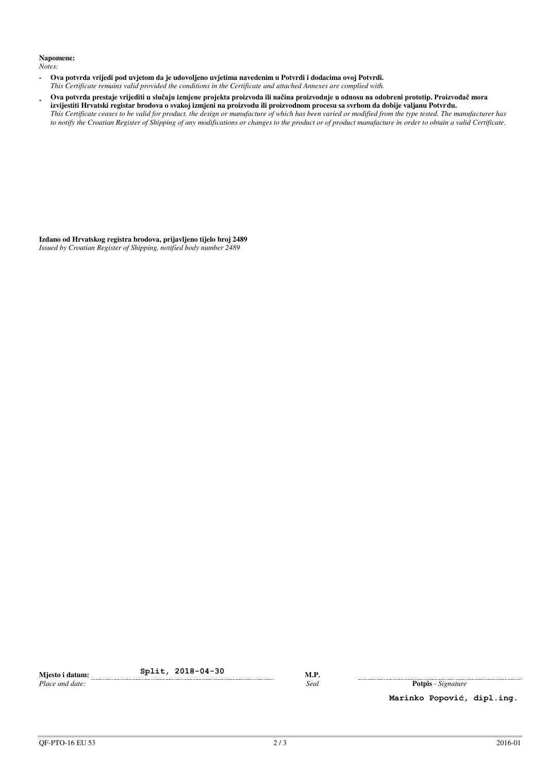## **Napomene:**

*Notes:*

- **Ova potvrda vrijedi pod uvjetom da je udovoljeno uvjetima navedenim u Potvrdi i dodacima ovoj Potvrdi.**  *This Certificate remains valid provided the conditions in the Certificate and attached Annexes are complied with.*
- **Ova potvrda prestaje vrijediti u slučaju izmjene projekta proizvoda ili načina proizvodnje u odnosu na odobreni prototip. Proizvođač mora izvijestiti Hrvatski registar brodova o svakoj izmjeni na proizvodu ili proizvodnom procesu sa svrhom da dobije valjanu Potvrdu.** *This Certificate ceases to be valid for product, the design or manufacture of which has been varied or modified from the type tested. The manufacturer has to notify the Croatian Register of Shipping of any modifications or changes to the product or of product manufacture in order to obtain a valid Certificate.*

**Izdano od Hrvatskog registra brodova, prijavljeno tijelo broj 2489**  *Issued by Croatian Register of Shipping, notified body number 2489*

**Mjesto i datum: Split, 2018-04-30 M.P.**<br>*Place and date: Seal* 

*Place and date:**Seal* **Potpis** - *Signature* 

**Marinko Popović, dipl.ing.**